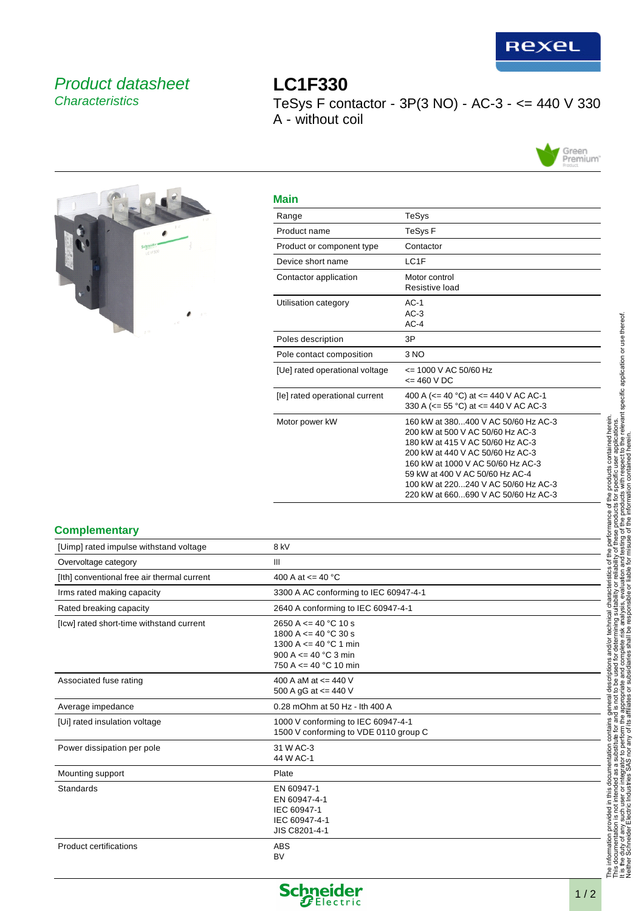

## Product datasheet **Characteristics**

**LC1F330** TeSys F contactor - 3P(3 NO) - AC-3 - <= 440 V 330 A - without coil





| I  |  |
|----|--|
| __ |  |

| wain                           |                                                                                                                                                                                                                                                                                                        |
|--------------------------------|--------------------------------------------------------------------------------------------------------------------------------------------------------------------------------------------------------------------------------------------------------------------------------------------------------|
| Range                          | TeSys                                                                                                                                                                                                                                                                                                  |
| Product name                   | <b>TeSys F</b>                                                                                                                                                                                                                                                                                         |
| Product or component type      | Contactor                                                                                                                                                                                                                                                                                              |
| Device short name              | LC <sub>1</sub> F                                                                                                                                                                                                                                                                                      |
| Contactor application          | Motor control<br>Resistive load                                                                                                                                                                                                                                                                        |
| Utilisation category           | $AC-1$<br>$AC-3$<br>$AC-4$                                                                                                                                                                                                                                                                             |
| Poles description              | 3P                                                                                                                                                                                                                                                                                                     |
| Pole contact composition       | 3 NO                                                                                                                                                                                                                                                                                                   |
| [Ue] rated operational voltage | <= 1000 V AC 50/60 Hz<br>$= 460 VDC$                                                                                                                                                                                                                                                                   |
| [le] rated operational current | 400 A ( $\leq$ 40 °C) at $\leq$ 440 V AC AC-1<br>330 A (<= 55 °C) at <= 440 V AC AC-3                                                                                                                                                                                                                  |
| Motor power kW                 | 160 kW at 380 400 V AC 50/60 Hz AC-3<br>200 kW at 500 V AC 50/60 Hz AC-3<br>180 kW at 415 V AC 50/60 Hz AC-3<br>200 kW at 440 V AC 50/60 Hz AC-3<br>160 kW at 1000 V AC 50/60 Hz AC-3<br>59 kW at 400 V AC 50/60 Hz AC-4<br>100 kW at 220240 V AC 50/60 Hz AC-3<br>220 kW at 660690 V AC 50/60 Hz AC-3 |

## **Complementary**

| [Uimp] rated impulse withstand voltage      | 8 kV                                                                                                                                      |
|---------------------------------------------|-------------------------------------------------------------------------------------------------------------------------------------------|
| Overvoltage category                        | $\mathbb{H}$                                                                                                                              |
| [Ith] conventional free air thermal current | 400 A at $\leq$ 40 °C                                                                                                                     |
| Irms rated making capacity                  | 3300 A AC conforming to IEC 60947-4-1                                                                                                     |
| Rated breaking capacity                     | 2640 A conforming to IEC 60947-4-1                                                                                                        |
| [Icw] rated short-time withstand current    | 2650 A $\leq$ 40 °C 10 s<br>$1800 A \le 40 °C 30 s$<br>1300 A $\leq$ 40 °C 1 min<br>900 A $\leq$ 40 °C 3 min<br>750 A $\leq$ 40 °C 10 min |
| Associated fuse rating                      | 400 A aM at $\leq$ 440 V<br>500 A gG at <= 440 V                                                                                          |
| Average impedance                           | 0.28 mOhm at 50 Hz - lth 400 A                                                                                                            |
| [Ui] rated insulation voltage               | 1000 V conforming to IEC 60947-4-1<br>1500 V conforming to VDE 0110 group C                                                               |
| Power dissipation per pole                  | 31 W AC-3<br>44 W AC-1                                                                                                                    |
| Mounting support                            | Plate                                                                                                                                     |
| Standards                                   | EN 60947-1<br>EN 60947-4-1<br>IEC 60947-1<br>IEC 60947-4-1<br>JIS C8201-4-1                                                               |
| Product certifications                      | <b>ABS</b><br><b>BV</b>                                                                                                                   |